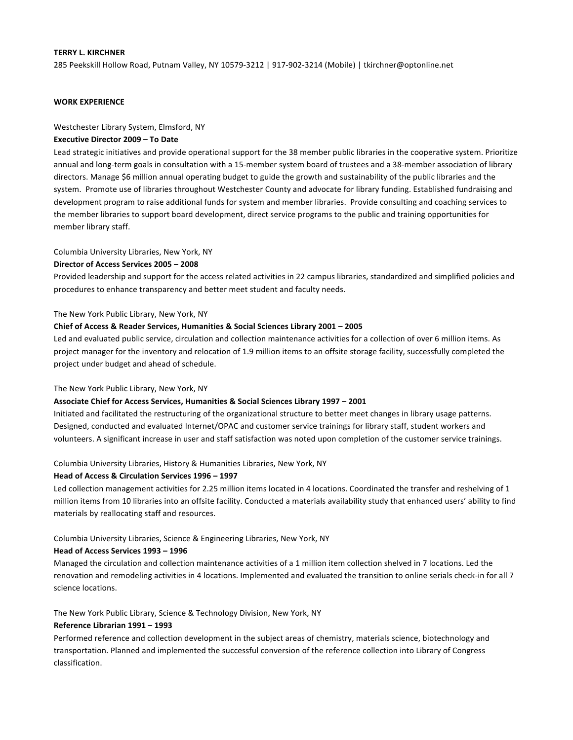# **TERRY L. KIRCHNER**

285 Peekskill Hollow Road, Putnam Valley, NY 10579-3212 | 917-902-3214 (Mobile) | tkirchner@optonline.net

# **WORK EXPERIENCE**

### Westchester Library System, Elmsford, NY

# **Executive Director 2009 - To Date**

Lead strategic initiatives and provide operational support for the 38 member public libraries in the cooperative system. Prioritize annual and long-term goals in consultation with a 15-member system board of trustees and a 38-member association of library directors. Manage \$6 million annual operating budget to guide the growth and sustainability of the public libraries and the system. Promote use of libraries throughout Westchester County and advocate for library funding. Established fundraising and development program to raise additional funds for system and member libraries. Provide consulting and coaching services to the member libraries to support board development, direct service programs to the public and training opportunities for member library staff.

## Columbia University Libraries, New York, NY

### **Director of Access Services 2005 – 2008**

Provided leadership and support for the access related activities in 22 campus libraries, standardized and simplified policies and procedures to enhance transparency and better meet student and faculty needs.

### The New York Public Library, New York, NY

### **Chief of Access & Reader Services, Humanities & Social Sciences Library 2001 - 2005**

Led and evaluated public service, circulation and collection maintenance activities for a collection of over 6 million items. As project manager for the inventory and relocation of 1.9 million items to an offsite storage facility, successfully completed the project under budget and ahead of schedule.

### The New York Public Library, New York, NY

#### Associate Chief for Access Services, Humanities & Social Sciences Library 1997 - 2001

Initiated and facilitated the restructuring of the organizational structure to better meet changes in library usage patterns. Designed, conducted and evaluated Internet/OPAC and customer service trainings for library staff, student workers and volunteers. A significant increase in user and staff satisfaction was noted upon completion of the customer service trainings.

# Columbia University Libraries, History & Humanities Libraries, New York, NY

#### Head of Access & Circulation Services 1996 - 1997

Led collection management activities for 2.25 million items located in 4 locations. Coordinated the transfer and reshelving of 1 million items from 10 libraries into an offsite facility. Conducted a materials availability study that enhanced users' ability to find materials by reallocating staff and resources.

## Columbia University Libraries, Science & Engineering Libraries, New York, NY

## Head of Access Services 1993 - 1996

Managed the circulation and collection maintenance activities of a 1 million item collection shelved in 7 locations. Led the renovation and remodeling activities in 4 locations. Implemented and evaluated the transition to online serials check-in for all 7 science locations.

The New York Public Library, Science & Technology Division, New York, NY

### **Reference Librarian 1991 - 1993**

Performed reference and collection development in the subject areas of chemistry, materials science, biotechnology and transportation. Planned and implemented the successful conversion of the reference collection into Library of Congress classification.